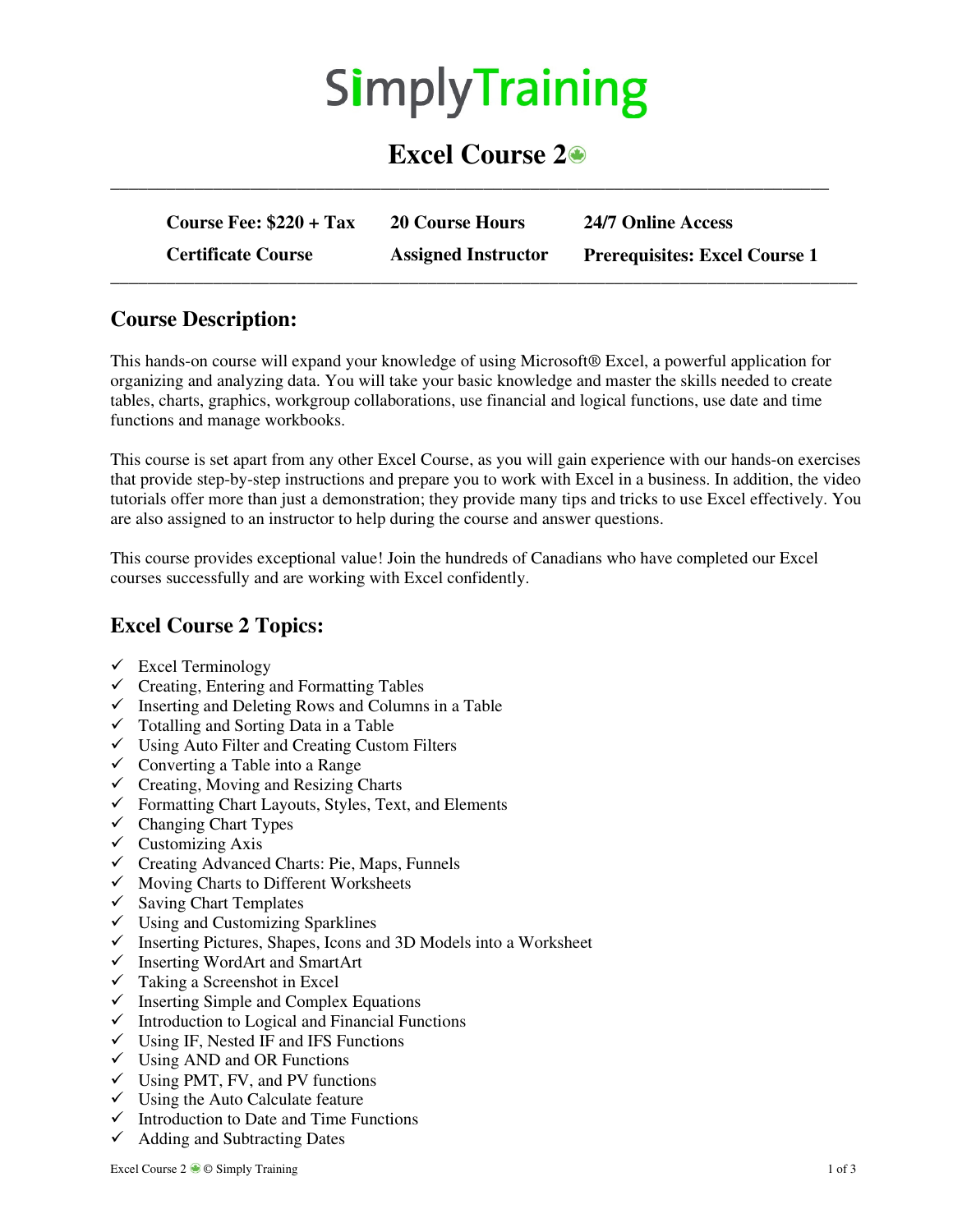# SimplyTraining

## **Excel Course 2**

| Course Fee: $$220 + Tax$  | <b>20 Course Hours</b>     | 24/7 Online Access                   |
|---------------------------|----------------------------|--------------------------------------|
| <b>Certificate Course</b> | <b>Assigned Instructor</b> | <b>Prerequisites: Excel Course 1</b> |

**\_\_\_\_\_\_\_\_\_\_\_\_\_\_\_\_\_\_\_\_\_\_\_\_\_\_\_\_\_\_\_\_\_\_\_\_\_\_\_\_\_\_\_\_\_\_\_\_\_\_\_\_\_\_\_\_\_\_\_\_\_\_\_\_\_\_\_\_\_\_\_\_\_\_\_\_\_** 

#### **Course Description:**

This hands-on course will expand your knowledge of using Microsoft® Excel, a powerful application for organizing and analyzing data. You will take your basic knowledge and master the skills needed to create tables, charts, graphics, workgroup collaborations, use financial and logical functions, use date and time functions and manage workbooks.

This course is set apart from any other Excel Course, as you will gain experience with our hands-on exercises that provide step-by-step instructions and prepare you to work with Excel in a business. In addition, the video tutorials offer more than just a demonstration; they provide many tips and tricks to use Excel effectively. You are also assigned to an instructor to help during the course and answer questions.

This course provides exceptional value! Join the hundreds of Canadians who have completed our Excel courses successfully and are working with Excel confidently.

#### **Excel Course 2 Topics:**

- $\checkmark$  Excel Terminology
- $\checkmark$  Creating, Entering and Formatting Tables
- $\checkmark$  Inserting and Deleting Rows and Columns in a Table
- $\checkmark$  Totalling and Sorting Data in a Table
- $\checkmark$  Using Auto Filter and Creating Custom Filters
- $\checkmark$  Converting a Table into a Range
- $\checkmark$  Creating, Moving and Resizing Charts
- $\checkmark$  Formatting Chart Layouts, Styles, Text, and Elements
- $\checkmark$  Changing Chart Types
- $\checkmark$  Customizing Axis
- $\checkmark$  Creating Advanced Charts: Pie, Maps, Funnels
- $\checkmark$  Moving Charts to Different Worksheets
- $\checkmark$  Saving Chart Templates
- $\checkmark$  Using and Customizing Sparklines
- $\checkmark$  Inserting Pictures, Shapes, Icons and 3D Models into a Worksheet
- $\checkmark$  Inserting WordArt and SmartArt
- $\checkmark$  Taking a Screenshot in Excel
- $\checkmark$  Inserting Simple and Complex Equations
- $\checkmark$  Introduction to Logical and Financial Functions
- $\checkmark$  Using IF, Nested IF and IFS Functions
- $\checkmark$  Using AND and OR Functions
- $\checkmark$  Using PMT, FV, and PV functions
- $\checkmark$  Using the Auto Calculate feature
- $\checkmark$  Introduction to Date and Time Functions
- $\checkmark$  Adding and Subtracting Dates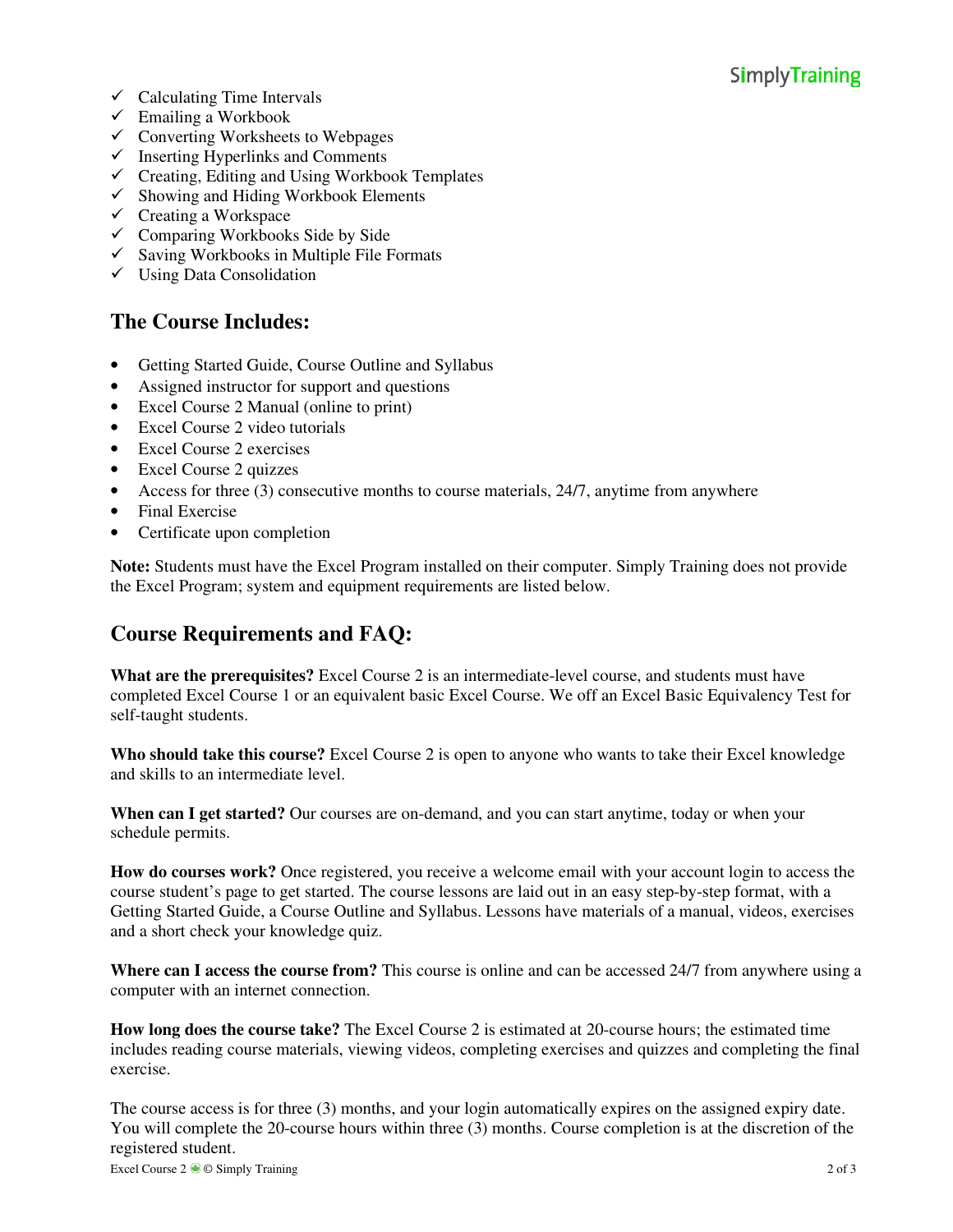### SimplyTraining

- $\checkmark$  Calculating Time Intervals
- $\checkmark$  Emailing a Workbook
- $\checkmark$  Converting Worksheets to Webpages
- $\checkmark$  Inserting Hyperlinks and Comments
- $\checkmark$  Creating, Editing and Using Workbook Templates
- $\checkmark$  Showing and Hiding Workbook Elements
- $\checkmark$  Creating a Workspace
- $\checkmark$  Comparing Workbooks Side by Side
- $\checkmark$  Saving Workbooks in Multiple File Formats
- $\checkmark$  Using Data Consolidation

#### **The Course Includes:**

- Getting Started Guide, Course Outline and Syllabus
- Assigned instructor for support and questions
- Excel Course 2 Manual (online to print)
- Excel Course 2 video tutorials
- Excel Course 2 exercises
- Excel Course 2 quizzes
- Access for three (3) consecutive months to course materials, 24/7, anytime from anywhere
- Final Exercise
- Certificate upon completion

**Note:** Students must have the Excel Program installed on their computer. Simply Training does not provide the Excel Program; system and equipment requirements are listed below.

#### **Course Requirements and FAQ:**

**What are the prerequisites?** Excel Course 2 is an intermediate-level course, and students must have completed Excel Course 1 or an equivalent basic Excel Course. We off an Excel Basic Equivalency Test for self-taught students.

**Who should take this course?** Excel Course 2 is open to anyone who wants to take their Excel knowledge and skills to an intermediate level.

**When can I get started?** Our courses are on-demand, and you can start anytime, today or when your schedule permits.

**How do courses work?** Once registered, you receive a welcome email with your account login to access the course student's page to get started. The course lessons are laid out in an easy step-by-step format, with a Getting Started Guide, a Course Outline and Syllabus. Lessons have materials of a manual, videos, exercises and a short check your knowledge quiz.

**Where can I access the course from?** This course is online and can be accessed 24/7 from anywhere using a computer with an internet connection.

**How long does the course take?** The Excel Course 2 is estimated at 20-course hours; the estimated time includes reading course materials, viewing videos, completing exercises and quizzes and completing the final exercise.

The course access is for three (3) months, and your login automatically expires on the assigned expiry date. You will complete the 20-course hours within three (3) months. Course completion is at the discretion of the registered student.